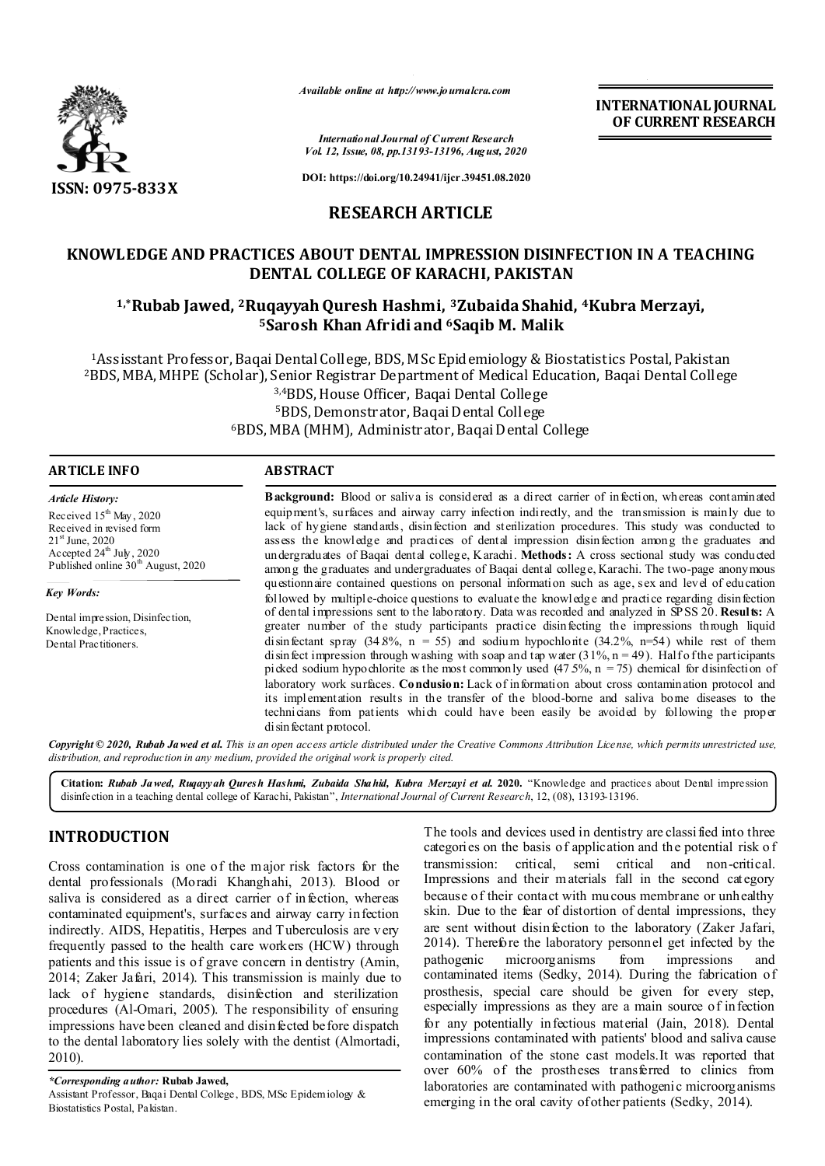

*Available online at http://www.journalcra.com*

**INTERNATIONAL JOURNAL OF CURRENT RESEARCH**

*International Journal of Current Research Vol. 12, Issue, 08, pp.13193-13196, August, 2020*

**DOI: https://doi.org/10.24941/ijcr.39451.08.2020**

# **RESEARCH ARTICLE**

# **KNOWLEDGE AND PRACTICES ABOUT DENTAL IMPRESSION DISINFECTION IN A TEACHING DENTAL COLLEGE OF KARACHI, PAKISTAN**

# **1,\*Rubab Jawed, 2Ruqayyah Quresh Hashmi, 3Zubaida Shahid, 4Kubra Merzayi, 5Sarosh Khan Afridi and 6Saqib M. Malik**

1Assisstant Professor, Baqai Dental College, BDS, MSc Epidemiology & Biostatistics Postal, Pakistan 2BDS, MBA, MHPE (Scholar), Senior Registrar Department of Medical Education, Baqai Dental College 3,4BDS, House Officer, Baqai Dental College 5BDS, Demonstrator, Baqai Dental College 6BDS, MBA (MHM), Administrator, Baqai Dental College

#### **ARTICLE INFO ABSTRACT**

*Article History:*

Received 15<sup>th</sup> May, 2020 Received in revised form 21st June, 2020 Accepted  $24^{\text{th}}$  July, 2020 Published online 30<sup>th</sup> August, 2020

*Key Words:*

Dental impression, Disinfection, Knowledge, Practices, Dental Practitioners.

**Background:** Blood or saliva is considered as a direct carrier of infection, whereas contaminated equipment's, surfaces and airway carry infection indirectly, and the transmission is mainly due to lack of hygiene standards, disinfection and sterilization procedures. This study was conducted to assess the knowledge and practices of dental impression disinfection among the graduates and undergraduates of Baqai dental college, Karachi. **Methods:** A cross sectional study was conducted among the graduates and undergraduates of Baqai dental college, Karachi. The two-page anonymous questionnaire contained questions on personal information such as age, sex and level of education followed by multiple-choice questions to evaluate the knowledge and practice regarding disinfection of dental impressions sent to the laboratory. Data was recorded and analyzed in SPSS 20. **Results:** A greater number of the study participants practice disinfecting the impressions through liquid disinfectant spray  $(34.8\%, n = 55)$  and sodium hypochlorite  $(34.2\%, n=54)$  while rest of them disinfect impression through washing with soap and tap water  $(31\%, n = 49)$ . Half of the participants picked sodium hypochlorite as the most commonly used  $(47.5\%, n = 75)$  chemical for disinfection of laboratory work surfaces. **Condusion:** Lack of information about cross contamination protocol and its implementation results in the transfer of the blood-borne and saliva borne diseases to the technicians from patients which could have been easily be avoided by following the proper di sin fectant protocol.

Copyright © 2020, Rubab Jawed et al. This is an open access article distributed under the Creative Commons Attribution License, which permits unrestricted use, *distribution, and reproduction in any medium, provided the original work is properly cited.*

**Citation:** *Rubab Jawed, Ruqayyah Quresh Hashmi, Zubaida Shahid, Kubra Merzayi et al.* **2020.** "Knowledge and practices about Dental impression disinfection in a teaching dental college of Karachi, Pakistan", *International Journal of Current Research*, 12, (08), 13193-13196.

## **INTRODUCTION**

Cross contamination is one of the major risk factors for the dental professionals (Moradi Khanghahi, 2013). Blood or saliva is considered as a direct carrier of infection, whereas contaminated equipment's, surfaces and airway carry infection indirectly. AIDS, Hepatitis, Herpes and Tuberculosis are v ery frequently passed to the health care workers (HCW) through patients and this issue is of grave concern in dentistry (Amin, 2014; Zaker Jafari, 2014). This transmission is mainly due to lack of hygiene standards, disinfection and sterilization procedures (Al-Omari, 2005). The responsibility of ensuring impressions have been cleaned and disinfected before dispatch to the dental laboratory lies solely with the dentist (Almortadi, 2010).

*\*Corresponding author:* **Rubab Jawed,** Assistant Professor, Baqai Dental College, BDS, MSc Epidemiology & Biostatistics Postal, Pakistan.

The tools and devices used in dentistry are classi fied into three categories on the basis of application and the potential risk o f transmission: critical, semi critical and non-critical. Impressions and their materials fall in the second category because of their contact with mucous membrane or unhealthy skin. Due to the fear of distortion of dental impressions, they are sent without disinfection to the laboratory (Zaker Jafari, 2014). Therefore the laboratory personnel get infected by the pathogenic microorganisms from impressions and contaminated items (Sedky, 2014). During the fabrication of prosthesis, special care should be given for every step, especially impressions as they are a main source of infection for any potentially infectious material (Jain, 2018). Dental impressions contaminated with patients' blood and saliva cause contamination of the stone cast models.It was reported that over 60% of the prostheses transferred to clinics from laboratories are contaminated with pathogenic microorganisms emerging in the oral cavity of other patients (Sedky, 2014).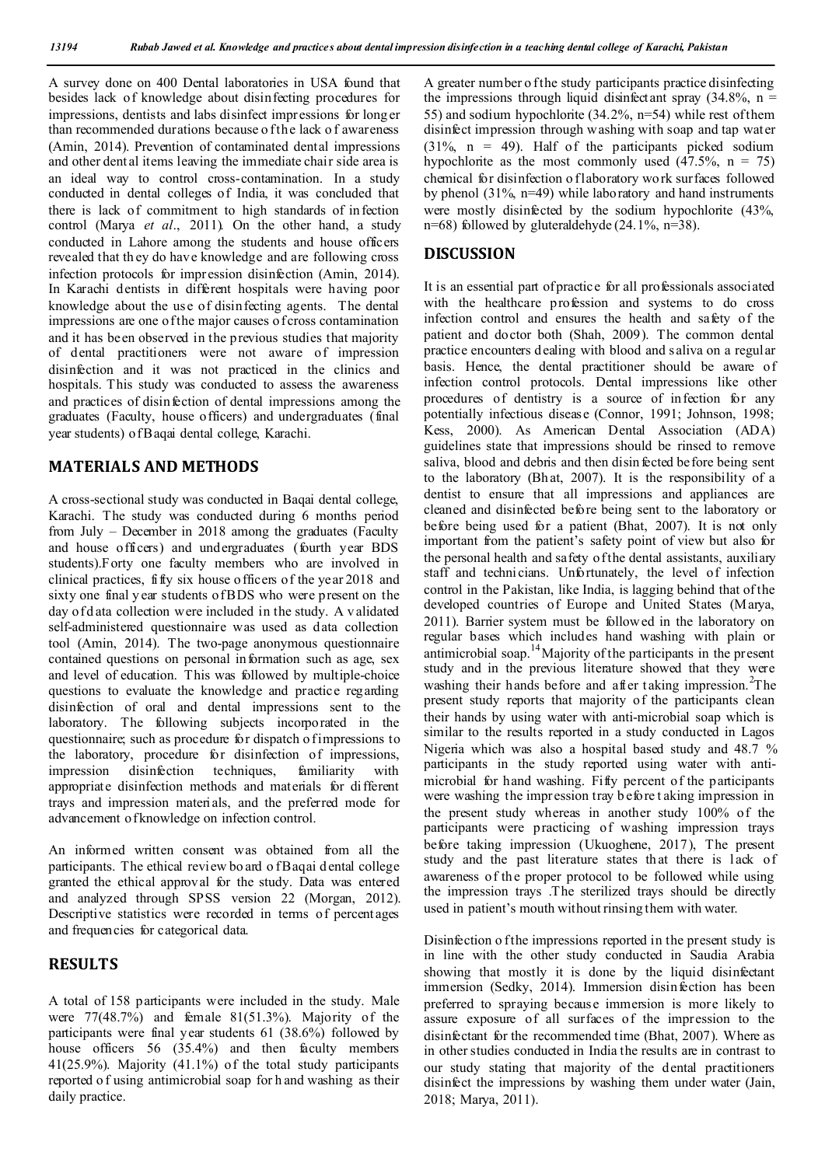A survey done on 400 Dental laboratories in USA found that besides lack of knowledge about disinfecting procedures for impressions, dentists and labs disinfect impressions for long er than recommended durations because o f the lack o f awareness (Amin, 2014). Prevention of contaminated dental impressions and other dent al items leaving the immediate chair side area is an ideal way to control cross-contamination. In a study conducted in dental colleges of India, it was concluded that there is lack of commitment to high standards of infection control (Marya *et al*., 2011). On the other hand, a study conducted in Lahore among the students and house officers revealed that th ey do have knowledge and are following cross infection protocols for impression disinfection (Amin, 2014). In Karachi dentists in different hospitals were having poor knowledge about the use of disinfecting agents. The dental impressions are one of the major causes of cross contamination and it has been observed in the previous studies that majority of dental practitioners were not aware of impression disinfection and it was not practiced in the clinics and hospitals. This study was conducted to assess the awareness and practices of disinfection of dental impressions among the graduates (Faculty, house officers) and undergraduates (final year students) of Baqai dental college, Karachi.

## **MATERIALS AND METHODS**

A cross-sectional study was conducted in Baqai dental college, Karachi. The study was conducted during 6 months period from July – December in 2018 among the graduates (Faculty and house officers) and undergraduates (fourth year BDS students).Forty one faculty members who are involved in clinical practices, fifty six house officers of the year 2018 and sixty one final y ear students of BDS who were present on the day of d ata collection were included in the study. A v alidated self-administered questionnaire was used as data collection tool (Amin, 2014). The two-page anonymous questionnaire contained questions on personal information such as age, sex and level of education. This was followed by multiple-choice questions to evaluate the knowledge and practice regarding disinfection of oral and dental impressions sent to the laboratory. The following subjects incorporated in the questionnaire; such as procedure for dispatch o f impressions to the laboratory, procedure for disinfection of impressions, impression disinfection techniques, familiarity with appropriate disinfection methods and materials for different trays and impression materials, and the preferred mode for advancement of knowledge on infection control.

An informed written consent was obtained from all the participants. The ethical review bo ard o f Baqai d ental college granted the ethical approval for the study. Data was entered and analyzed through SPSS version 22 (Morgan, 2012). Descriptive statistics were recorded in terms of percentages and frequencies for categorical data.

## **RESULTS**

A total of 158 participants were included in the study. Male were 77(48.7%) and female 81(51.3%). Majority of the participants were final year students 61 (38.6%) followed by house officers 56 (35.4%) and then faculty members 41(25.9%). Majority (41.1%) of the total study participants reported o f using antimicrobial soap for h and washing as their daily practice.

A greater number o f the study participants practice disinfecting the impressions through liquid disinfectant spray (34.8%,  $n =$ 55) and sodium hypochlorite (34.2%, n=54) while rest of them disinfect impression through washing with soap and tap water  $(31\% \text{ n} = 49)$ . Half of the participants picked sodium hypochlorite as the most commonly used  $(47.5\%), n = 75)$ chemical for disinfection o flaboratory work surfaces followed by phenol (31%, n=49) while laboratory and hand instruments were mostly disinfected by the sodium hypochlorite (43%). n=68) followed by gluteraldehyde (24.1%, n=38).

## **DISCUSSION**

It is an essential part of practice for all professionals associated with the healthcare profession and systems to do cross infection control and ensures the health and safety of the patient and doctor both (Shah, 2009). The common dental practice encounters d ealing with blood and saliva on a regular basis. Hence, the dental practitioner should be aware of infection control protocols. Dental impressions like other procedures of dentistry is a source of infection for any potentially infectious disease (Connor, 1991; Johnson, 1998; Kess, 2000). As American Dental Association (ADA) guidelines state that impressions should be rinsed to remove saliva, blood and debris and then disin fected before being sent to the laboratory (Bh at, 2007). It is the responsibility of a dentist to ensure that all impressions and appliances are cleaned and disinfected before being sent to the laboratory or before being used for a patient (Bhat, 2007). It is not only important from the patient's safety point of view but also for the personal health and safety of the dental assistants, auxiliary staff and technicians. Unfortunately, the level of infection control in the Pakistan, like India, is lagging behind that of the developed countries of Europe and United States (Marya, 2011). Barrier system must be followed in the laboratory on regular bases which includes hand washing with plain or antimicrobial soap.14Majority of the participants in the present study and in the previous literature showed that they were washing their hands before and after taking impression.<sup>2</sup>The present study reports that majority of the participants clean their hands by using water with anti-microbial soap which is similar to the results reported in a study conducted in Lagos Nigeria which was also a hospital based study and 48.7 % participants in the study reported using water with antimicrobial for hand washing. Fifty percent of the participants were washing the impression tray b efore t aking impression in the present study whereas in another study 100% of the participants were practicing of washing impression trays before taking impression (Ukuoghene, 2017), The present study and the past literature states that there is lack of awareness of the proper protocol to be followed while using the impression trays .The sterilized trays should be directly used in patient's mouth without rinsing them with water.

Disinfection o f the impressions reported in the present study is in line with the other study conducted in Saudia Arabia showing that mostly it is done by the liquid disinfectant immersion (Sedky, 2014). Immersion disinfection has been preferred to spraying because immersion is more likely to assure exposure of all surfaces of the impression to the disinfectant for the recommended time (Bhat, 2007). Where as in other studies conducted in India the results are in contrast to our study stating that majority of the dental practitioners disinfect the impressions by washing them under water (Jain, 2018; Marya, 2011).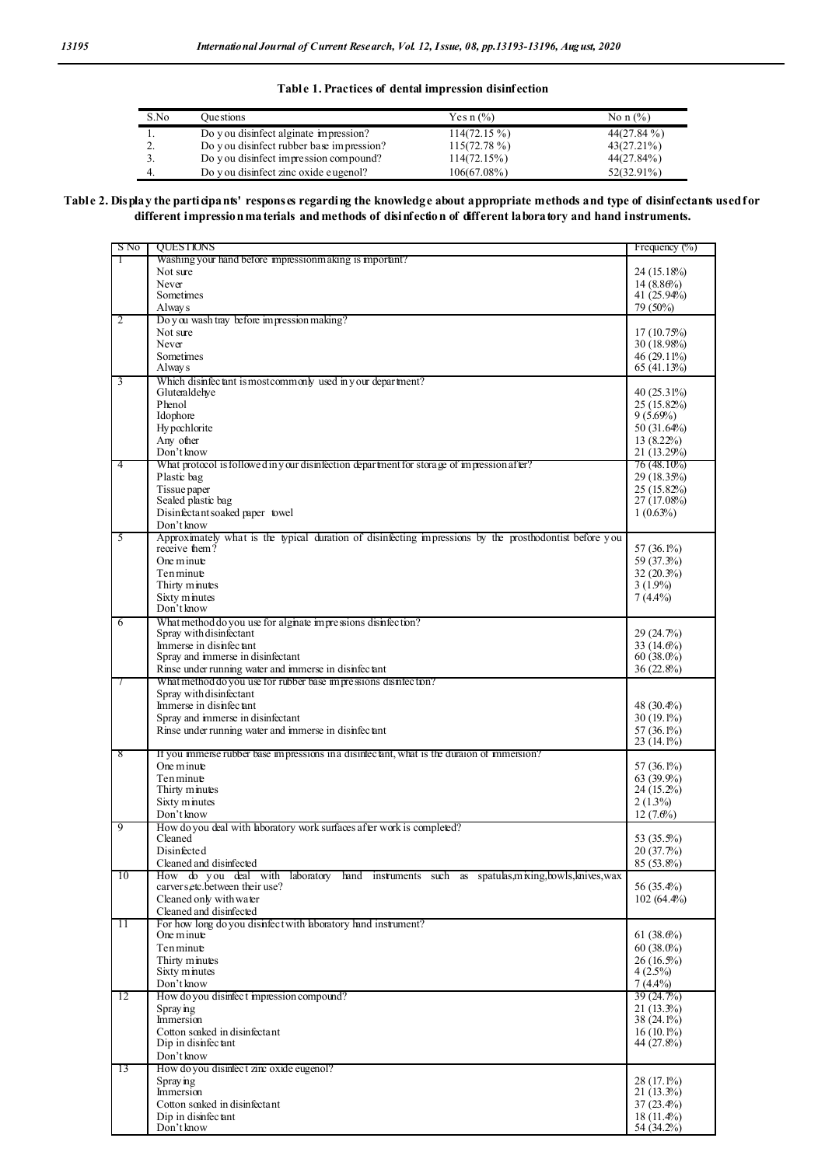**Table 1. Practices of dental impression disinfection**

| S.No | <b>Ouestions</b>                         | Yes $n$ $\%$ ) | No n $(\% )$  |
|------|------------------------------------------|----------------|---------------|
| . .  | Do you disinfect alginate impression?    | $114(72.15\%)$ | $44(27.84\%)$ |
| ۷.   | Do you disinfect rubber base impression? | $115(72.78\%)$ | $43(27.21\%)$ |
| J.   | Do you disinfect impression compound?    | 114(72.15%)    | 44(27.84%)    |
| -4.  | Do you disinfect zinc oxide eugenol?     | $106(67.08\%)$ | 52(32.91%)    |

#### **Table 2. Display the participants' responses regarding the knowledge about appropriate methods and type of disinfectants used for different impression materials and methods of disinfection of different laboratory and hand instruments.**

| S No | <b>OUESTIONS</b>                                                                                                          | Frequency $(\%)$           |
|------|---------------------------------------------------------------------------------------------------------------------------|----------------------------|
| 1    | Washing your hand before impression making is important?                                                                  |                            |
|      | Not sure                                                                                                                  | 24 (15.18%)                |
|      | Never<br>Sometimes                                                                                                        | 14(8.86%)                  |
|      | Alway s                                                                                                                   | 41 (25.94%)<br>79 (50%)    |
| 2    | Do you wash tray before impression making?                                                                                |                            |
|      | Not sure                                                                                                                  | 17(10.75%)                 |
|      | Never                                                                                                                     | 30 (18.98%)                |
|      | Sometimes                                                                                                                 | 46 (29.11%)                |
|      | Alway s                                                                                                                   | 65 (41.13%)                |
| 3    | Which disinfectant is mostcommonly used in your department?                                                               |                            |
|      | Gluteraldehve                                                                                                             | $40(25.31\%)$              |
|      | Phenol<br>Idophore                                                                                                        | 25(15.82%)<br>9(5.69%)     |
|      | Hy pochlorite                                                                                                             | 50 (31.64%)                |
|      | Any other                                                                                                                 | 13(8.22%)                  |
|      | Don't know                                                                                                                | 21 (13.29%)                |
| 4    | What protocol is followed in y our disinfection department for storage of impression after?                               | 76 (48.10%)                |
|      | Plastic bag                                                                                                               | 29 (18.35%)                |
|      | Tissue paper<br>Sealed plastic bag                                                                                        | 25(15.82%)                 |
|      | Disinfectant soaked paper towel                                                                                           | 27 (17.08%)<br>$1(0.63\%)$ |
|      | Don't know                                                                                                                |                            |
| 5    | Approximately what is the typical duration of disinfecting impressions by the prosthodontist before you                   |                            |
|      | receive them?                                                                                                             | 57 (36.1%)                 |
|      | One minute                                                                                                                | 59 (37.3%)                 |
|      | Tenminue                                                                                                                  | $32(20.3\%)$               |
|      | Thirty minutes<br>Sixty minutes                                                                                           | $3(1.9\%)$<br>$7(4.4\%)$   |
|      | Don't know                                                                                                                |                            |
| 6    | What method do you use for algnate impressions disinfection?                                                              |                            |
|      | Spray with disinfectant                                                                                                   | 29(24.7%)                  |
|      | Immerse in disinfectant                                                                                                   | 33 $(14.6\%)$              |
|      | Spray and immerse in disinfectant                                                                                         | $60(38.0\%)$               |
| 7    | Rinse under running water and immerse in disinfectant<br>What method do you use for rubber base impressions disinfection? | $36(22.8\%)$               |
|      | Spray with disinfectant                                                                                                   |                            |
|      | Immerse in disinfectant                                                                                                   | 48 (30.4%)                 |
|      | Spray and immerse in disinfectant                                                                                         | $30(19.1\%)$               |
|      | Rinse under running water and immerse in disinfect ant                                                                    | 57 (36.1%)                 |
|      |                                                                                                                           | 23 (14.1%)                 |
| 8    | If you immerse rubber base impressions in a disinfect ant, what is the duration of immersion?<br>One minute               | 57 (36.1%)                 |
|      | Tenminue                                                                                                                  | $63(39.9\%)$               |
|      | Thirty minutes                                                                                                            | $24(15.2\%)$               |
|      | Sixty minutes                                                                                                             | $2(1.3\%)$                 |
|      | Don't know                                                                                                                | $12(7.6\%)$                |
| 9    | How do you deal with aboratory work surfaces after work is completed?                                                     |                            |
|      | Cleaned<br><b>Disinfected</b>                                                                                             | 53 (35.5%)                 |
|      | Cleaned and disinfected                                                                                                   | 20(37.7%)<br>85 (53.8%)    |
| 10   | How do you deal with laboratory hand instruments such as spatulas, mixing, bowls, knives, wax                             |                            |
|      | carver setc.between their use?                                                                                            | 56 (35.4%)                 |
|      | Cleaned only with water                                                                                                   | $102(64.4\%)$              |
|      | Cleaned and disinfected                                                                                                   |                            |
| 11   | For how long do you disinfect with aboratory hand instrument?<br>One minute                                               |                            |
|      | Tenminue                                                                                                                  | 61(38.6%)<br>$60(38.0\%)$  |
|      | Thirty minutes                                                                                                            | $26(16.5\%)$               |
|      | Sixty minutes                                                                                                             | $4(2.5\%)$                 |
|      | Don't know                                                                                                                | $7(4.4\%)$                 |
| 12   | How do you disinfect impression compound?                                                                                 | 39(24.7%)                  |
|      | Spray ing<br>Immersion                                                                                                    | $21(13.3\%)$               |
|      | Cotton scaked in disinfectant                                                                                             | 38 (24.1%)<br>$16(10.1\%)$ |
|      | Dip in disinfectant                                                                                                       | 44 (27.8%)                 |
|      | Don't know                                                                                                                |                            |
| 13   | How do you dismet zime oxide eugenol?                                                                                     |                            |
|      | Spray ing                                                                                                                 | 28 (17.1%)                 |
|      | Immersion                                                                                                                 | 21 (13.3%)                 |
|      | Cotton scaked in disinfectant<br>Dip in disinfectant                                                                      | 37 (23.4%)<br>$18(11.4\%)$ |
|      | Don't know                                                                                                                | 54 (34.2%)                 |
|      |                                                                                                                           |                            |